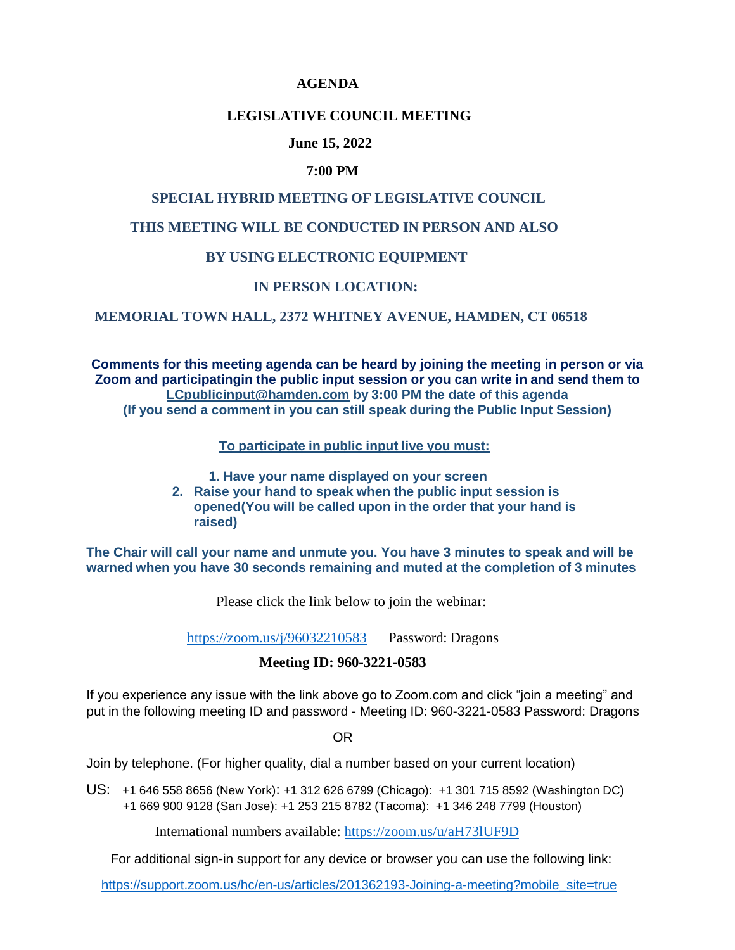#### **AGENDA**

## **LEGISLATIVE COUNCIL MEETING**

### **June 15, 2022**

#### **7:00 PM**

# **SPECIAL HYBRID MEETING OF LEGISLATIVE COUNCIL**

## **THIS MEETING WILL BE CONDUCTED IN PERSON AND ALSO**

#### **BY USING ELECTRONIC EQUIPMENT**

## **IN PERSON LOCATION:**

#### **MEMORIAL TOWN HALL, 2372 WHITNEY AVENUE, HAMDEN, CT 06518**

**Comments for this meeting agenda can be heard by joining the meeting in person or via Zoom and participatingin the public input session or you can write in and send them to [LCpublicinput@hamden.com](mailto:LCpublicinput@hamden.com) by 3:00 PM the date of this agenda (If you send a comment in you can still speak during the Public Input Session)**

**To participate in public input live you must:**

 **1. Have your name displayed on your screen**

**2. Raise your hand to speak when the public input session is opened(You will be called upon in the order that your hand is raised)**

**The Chair will call your name and unmute you. You have 3 minutes to speak and will be warned when you have 30 seconds remaining and muted at the completion of 3 minutes**

Please click the link below to join the webinar:

<https://zoom.us/j/96032210583> Password: Dragons

## **Meeting ID: 960-3221-0583**

If you experience any issue with the link above go to Zoom.com and click "join a meeting" and put in the following meeting ID and password - Meeting ID: 960-3221-0583 Password: Dragons

OR

Join by telephone. (For higher quality, dial a number based on your current location)

US: +1 646 558 8656 (New York): +1 312 626 6799 (Chicago): +1 301 715 8592 (Washington DC) +1 669 900 9128 (San Jose): +1 253 215 8782 (Tacoma): +1 346 248 7799 (Houston)

International numbers available: <https://zoom.us/u/aH73lUF9D>

For additional sign-in support for any device or browser you can use the following link:

[https://support.zoom.us/hc/en-us/articles/201362193-Joining-a-meeting?mobile\\_site=true](https://support.zoom.us/hc/en-us/articles/201362193-Joining-a-meeting?mobile_site=true)